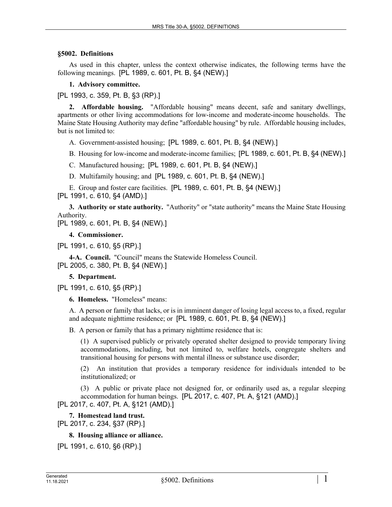#### **§5002. Definitions**

As used in this chapter, unless the context otherwise indicates, the following terms have the following meanings. [PL 1989, c. 601, Pt. B, §4 (NEW).]

#### **1. Advisory committee.**

[PL 1993, c. 359, Pt. B, §3 (RP).]

**2. Affordable housing.** "Affordable housing" means decent, safe and sanitary dwellings, apartments or other living accommodations for low-income and moderate-income households. The Maine State Housing Authority may define "affordable housing" by rule. Affordable housing includes, but is not limited to:

A. Government-assisted housing; [PL 1989, c. 601, Pt. B, §4 (NEW).]

B. Housing for low-income and moderate-income families; [PL 1989, c. 601, Pt. B, §4 (NEW).]

C. Manufactured housing; [PL 1989, c. 601, Pt. B, §4 (NEW).]

D. Multifamily housing; and [PL 1989, c. 601, Pt. B, §4 (NEW).]

E. Group and foster care facilities. [PL 1989, c. 601, Pt. B, §4 (NEW).]

[PL 1991, c. 610, §4 (AMD).]

**3. Authority or state authority.** "Authority" or "state authority" means the Maine State Housing Authority.

[PL 1989, c. 601, Pt. B, §4 (NEW).]

#### **4. Commissioner.**

[PL 1991, c. 610, §5 (RP).]

**4-A. Council.** "Council" means the Statewide Homeless Council. [PL 2005, c. 380, Pt. B, §4 (NEW).]

# **5. Department.**

[PL 1991, c. 610, §5 (RP).]

**6. Homeless.** "Homeless" means:

A. A person or family that lacks, or is in imminent danger of losing legal access to, a fixed, regular and adequate nighttime residence; or [PL 1989, c. 601, Pt. B, §4 (NEW).]

B. A person or family that has a primary nighttime residence that is:

(1) A supervised publicly or privately operated shelter designed to provide temporary living accommodations, including, but not limited to, welfare hotels, congregate shelters and transitional housing for persons with mental illness or substance use disorder;

(2) An institution that provides a temporary residence for individuals intended to be institutionalized; or

(3) A public or private place not designed for, or ordinarily used as, a regular sleeping accommodation for human beings. [PL 2017, c. 407, Pt. A, §121 (AMD).] [PL 2017, c. 407, Pt. A, §121 (AMD).]

# **7. Homestead land trust.**

[PL 2017, c. 234, §37 (RP).]

# **8. Housing alliance or alliance.**

[PL 1991, c. 610, §6 (RP).]